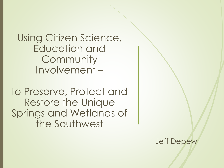Using Citizen Science, Education and **Community** Involvement –

to Preserve, Protect and Restore the Unique Springs and Wetlands of the Southwest

Jeff Depew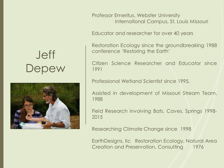Professor Emeritus, Webster University International Campus, St. Louis Missouri

Educator and researcher for over 40 years

Restoration Ecology since the groundbreaking 1988 conference 'Restoring the Earth'

Citizen Science Researcher and Educator since 1991

Professional Wetland Scientist since 1995.

Assisted in development of Missouri Stream Team, 1988

Field Research involving Bats, Caves, Springs 1998- 2015

Researching Climate Change since 1998

EarthDesigns, llc Restoration Ecology, Natural Area Creation and Preservation, Consulting 1976

# Jeff Depew

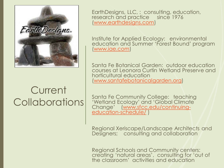

EarthDesigns, LLC, : consulting, education, research and practice since 1976 [\(www.earthdesigns.com](http://www.earthdesigns.com/))

Institute for Applied Ecology: environmental education and Summer 'Forest Bound' program [\(www.iae.com](http://www.iae.com/))

Santa Fe Botanical Garden: outdoor education courses at Leonora Curtin Wetland Preserve and horticultural education [\(www.santafebotanicalgarden.org](http://www.santafebotanicalgarden.org/))

# **Current Collaborations**

Santa Fe Community College: teaching 'Wetland Ecology' and 'Global Climate Change' ([www.sfcc.edu/continuing](http://www.sfcc.edu/continuing-education-schedule/)education-schedule/ )

Regional Xeriscape/Landscape Architects and Designers; consulting and collaboration

Regional Schools and Community centers: creating 'natural areas', consulting for 'out of the classroom' activities and education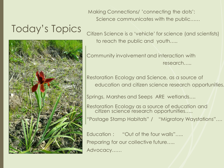Making Connections/ 'connecting the dots': Science communicates with the public……

# Today's Topics



Citizen Science is a 'vehicle' for science (and scientists) to reach the public and youth…..

Community involvement and interaction with research…..

Restoration Ecology and Science, as a source of education and citizen science research opportunities..

Springs, Marshes and Seeps ARE wetlands….

Restoration Ecology as a source of education and citizen science research opportunities…..

"Postage Stamp Habitats" / "Migratory Waystations"….

Education : "Out of the four walls"..... Preparing for our collective future….. Advocacy……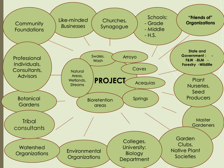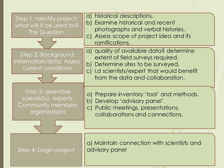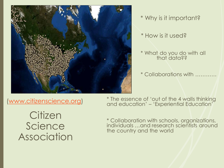

\* Why is it important?

\* How is it used?

\* What do you do with all that data??

\* Collaborations with …………

### [\(www.citizenscience.org\)](http://www.citizenscience.org/)

\* The essence of 'out of the 4 walls thinking and education' – 'Experiential Education'

**Citizen** Science Association

\* Collaboration with schools, organizations, individuals …and research scientists around the country and the world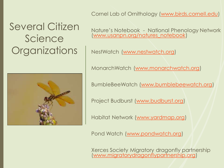Cornel Lab of Ornithology ([www.birds.cornell.edu\)](http://www.birds.cornell.edu/)

# Several Citizen Science **Organizations**



Nature's Notebook - National Phenology Network [\(www.usanpn.org/natures\\_notebook](http://www.usanpn.org/natures_notebook))

NestWatch [\(www.nestwatch.org](http://www.nestwatch.org/))

MonarchWatch [\(www.monarchwatch.org\)](http://www.monarchwatch.org/)

BumbleBeeWatch [\(www.bumblebeewatch.org](http://www.bumblebeewatch.org/))

Project Budburst ([www.budburst.org](http://www.budburst.org/))

Habitat Network [\(www.yardmap.org\)](http://www.yardmap.org/)

Pond Watch [\(www.pondwatch.org](http://www.pondwatch.org/))

Xerces Society Migratory dragonfly partnership [\(www.migratorydragonflypartnership.org\)](http://www.migratorydragonflypartnership.org/)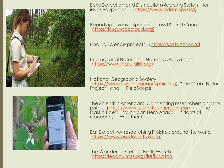

Early Detection and Distribution Mapping System (for invasive species) [\(https://www.eddmaps.org\)](https://www.eddmaps.org/)

Reporting Invasive Species across US and Canada ([https://bugwoodcloud.org\)](https://bugwoodcloud.org/)

Finding Science projects: [\(https://scistarter.com\)](https://scistarter.com/)

International Naturalist – Nature Observations: ([https://www.inaturalist.org\)](https://www.inaturalist.org/)

National Geographic Society : ([https://www.nationalgeographic.org](https://www.nationalgeographic.org/)) "The Great Nature Project' and ' FieldScope'



The Scientific American: Connecting researchers and the public [\(https://www.scientificamerican.com](https://www.scientificamerican.com/)) : 'The Plastic Tide'; 'Michigan Herp Atlas'; 'Plants of Concern'; 'Weather-IT' …….

Bat Detective- researching Pipistrels around the world ([https://www.batdetective.org](https://www.batdetective.org/))

The Wonder of Fireflies- FireflyWatch: ([https://legacy.mos.org/fireflywatch\)](https://legacy.mos.org/fireflywatch)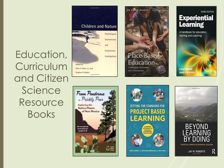# Education, Curriculum and Citizen **Science** Resource Books

### **Children and Nature** Psychological, Sociocultural, and Evolutionary Investigations edited by Peter H. Kahn, Jr., and



### THIRD EDITION **Experiential Learning**

A handbook for education. training and coaching





**Date (philosophie** 

Stephen R. Kellert



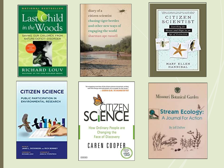







 $(T718.866)$ 



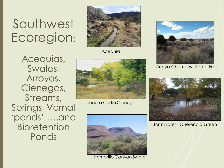# Southwest Ecoregion:

Acequias, Swales, Arroyos, Cienegas, Streams, Springs, Vernal 'ponds' ....and **Bioretention** Ponds



Acequia



Leonora Curtin Cienega



Hembrillo Canyon Swale



Arroyo Chamisos - Santa Fe



Stormwater - Querencia Green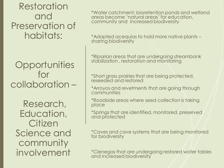Restoration and Preservation of habitats:

**Opportunities** for collaboration –

Research, Education, **Citizen** Science and community involvement

\*Water catchment; bioretention ponds and wetland areas become 'natural areas' for education, community and increased biodiversity

\*Adapted acequias to hold more native plants – sharing biodiversity

\*Riparian areas that are undergoing streambank stabilization , restoration and monitoring

\*Short grass prairies that are being protected, reseeded and restored

\*Arroyos and revetments that are going through communities

\*Roadside areas where seed collection is taking place

\*Springs that are identified, monitored, preserved and protected

\*Caves and cave systems that are being monitored for biodiversity

\*Cienegas that are undergoing restored water tables and increased biodiversity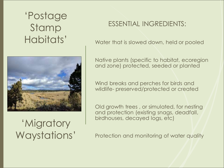# 'Postage Stamp Habitats'



### 'Migratory Waystations'

### ESSENTIAL INGREDIENTS:

Water that is slowed down, held or pooled

Native plants (specific to habitat, ecoregion and zone) protected, seeded or planted

Wind breaks and perches for birds and wildlife- preserved/protected or created

Old growth trees , or simulated, for nesting and protection (existing snags, deadfall, birdhouses, decayed logs, etc)

Protection and monitoring of water quality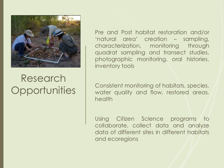

# Research **Opportunities**

Pre and Post habitat restoration and/or 'natural area' creation – sampling, characterization, monitoring through quadrat sampling and transect studies, photographic monitoring, oral histories, inventory tools

Consistent monitoring of habitats, species, water quality and flow, restored areas, health

Using Citizen Science programs to collaborate, collect data and analyze data of different sites in different habitats and ecoregions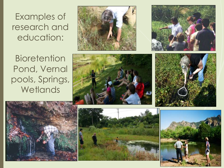Examples of research and education:

**Bioretention** Pond, Vernal pools, Springs, **Wetlands** 











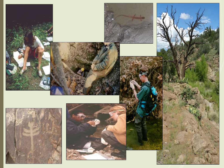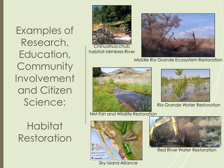Examples of Research, Education, **Community** Involvement and Citizen Science:

# **Habitat** Restoration



Chihuahua chub habitat-Mimbres River



Middle Rio Grande Ecosystem Restoration



NM Fish and Wildlife Restoration



Sky Island Alliance



Rio Grande Water Restoration



Red River Water Restoration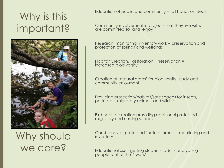# Why is this important?



Why should we care?

Education of public and community – 'all hands on deck'

Community involvement in projects that they live with, are committed to and enjoy

Research, monitoring, inventory work – preservation and protection of springs and wetlands

Habitat Creation, Restoration, Preservation = increased biodiversity

Creation of 'natural areas' for biodiversity, study and community enjoyment

Providing protection/habitat/safe spaces for insects, pollinators, migratory animals and wildlife

Bird habitat creation providing additional protected migratory and nesting spaces

Consistency of protected 'natural areas' – monitoring and inventory

Educational use - getting students, adults and young people 'out of the 4 walls'